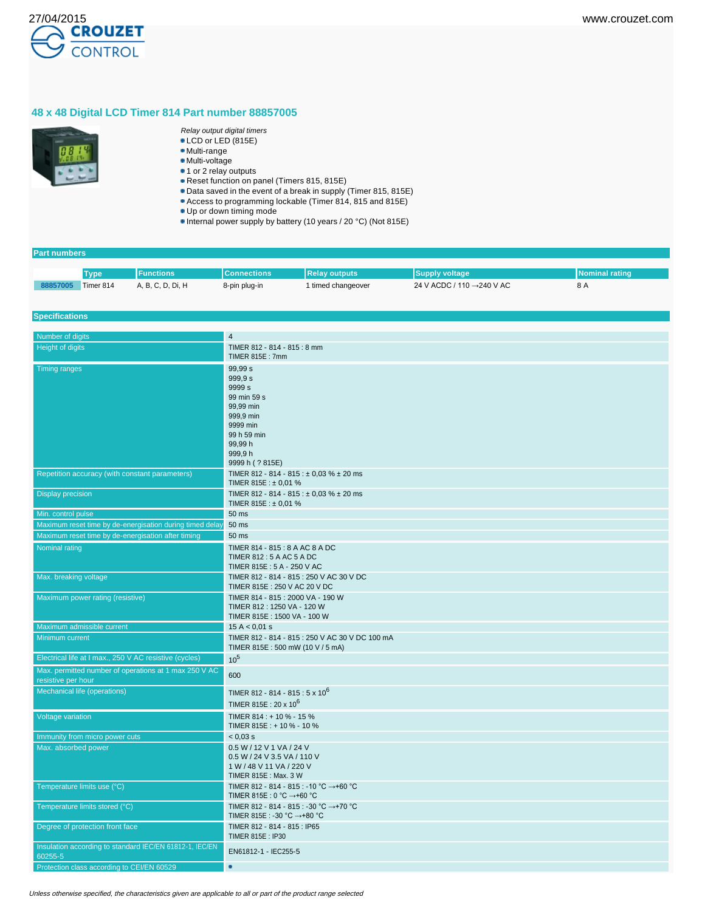

## **48 x 48 Digital LCD Timer 814 Part number 88857005**



- Relay output digital timers
- LCD or LED (815E) Multi-range
- Multi-voltage
- 1 or 2 relay outputs
- Reset function on panel (Timers 815, 815E)
- Data saved in the event of a break in supply (Timer 815, 815E)
- Access to programming lockable (Timer 814, 815 and 815E)
- Up or down timing mode
- Internal power supply by battery (10 years / 20 °C) (Not 815E)

## **Part numbers**

|          | Tvpe'     | <b>Functions</b>  | <b>Connections</b> | <b>Relay outputs</b> | Supply voltage            | INominal rating |
|----------|-----------|-------------------|--------------------|----------------------|---------------------------|-----------------|
| 88857005 | Timer 814 | A, B, C, D, Di, H | 8-pin plug-in      | I timed changeover   | 24 V ACDC / 110 →240 V AC | 8 A             |

### **Specifications**

| Number of digits                                                            | $\overline{4}$                                                                                              |
|-----------------------------------------------------------------------------|-------------------------------------------------------------------------------------------------------------|
| Height of digits                                                            | TIMER 812 - 814 - 815 : 8 mm                                                                                |
|                                                                             | TIMER 815E: 7mm                                                                                             |
| <b>Timing ranges</b>                                                        | 99.99 s<br>999,9 s<br>9999 <sub>s</sub><br>99 min 59 s<br>99.99 min<br>999.9 min<br>9999 min<br>99 h 59 min |
|                                                                             | 99.99 h<br>999,9h<br>9999 h (? 815E)                                                                        |
| Repetition accuracy (with constant parameters)                              | TIMER 812 - 814 - 815 : $\pm$ 0.03 % $\pm$ 20 ms<br>TIMER 815E : $\pm$ 0.01 %                               |
| <b>Display precision</b>                                                    | TIMER 812 - 814 - 815 : ± 0,03 % ± 20 ms<br>TIMER 815E : $\pm$ 0,01 %                                       |
| Min. control pulse                                                          | 50 ms                                                                                                       |
| Maximum reset time by de-energisation during timed delay                    | 50 ms                                                                                                       |
| Maximum reset time by de-energisation after timing                          | 50 ms                                                                                                       |
| Nominal rating                                                              | TIMER 814 - 815 : 8 A AC 8 A DC                                                                             |
|                                                                             | TIMER 812: 5 A AC 5 A DC<br>TIMER 815E: 5 A - 250 V AC                                                      |
| Max. breaking voltage                                                       | TIMER 812 - 814 - 815 : 250 V AC 30 V DC<br>TIMER 815E: 250 V AC 20 V DC                                    |
| Maximum power rating (resistive)                                            | TIMER 814 - 815 : 2000 VA - 190 W<br>TIMER 812: 1250 VA - 120 W<br>TIMER 815E: 1500 VA - 100 W              |
| Maximum admissible current                                                  | 15 A < 0.01 s                                                                                               |
| Minimum current                                                             | TIMER 812 - 814 - 815 : 250 V AC 30 V DC 100 mA<br>TIMER 815E: 500 mW (10 V / 5 mA)                         |
| Electrical life at I max., 250 V AC resistive (cycles)                      | $10^{5}$                                                                                                    |
| Max. permitted number of operations at 1 max 250 V AC<br>resistive per hour | 600                                                                                                         |
| Mechanical life (operations)                                                | TIMER 812 - 814 - 815 : 5 x 10 <sup>6</sup><br>TIMER 815E : $20 \times 10^6$                                |
| Voltage variation                                                           | TIMER 814 : + 10 % - 15 %<br>TIMER 815E: + 10 % - 10 %                                                      |
| Immunity from micro power cuts                                              | $< 0.03$ s                                                                                                  |
| Max. absorbed power                                                         | 0.5 W / 12 V 1 VA / 24 V<br>0.5 W / 24 V 3.5 VA / 110 V<br>1 W / 48 V 11 VA / 220 V<br>TIMER 815E: Max. 3 W |
| Temperature limits use (°C)                                                 | TIMER 812 - 814 - 815 : -10 °C →+60 °C<br>TIMER 815E : 0 °C →+60 °C                                         |
| Temperature limits stored (°C)                                              | TIMER 812 - 814 - 815 : -30 °C →+70 °C<br>TIMER 815E : -30 °C →+80 °C                                       |
| Degree of protection front face                                             | TIMER 812 - 814 - 815 : IP65<br>TIMER 815E: IP30                                                            |
| Insulation according to standard IEC/EN 61812-1, IEC/EN<br>60255-5          | EN61812-1 - IEC255-5                                                                                        |
| Protection class according to CEI/EN 60529                                  | ۰                                                                                                           |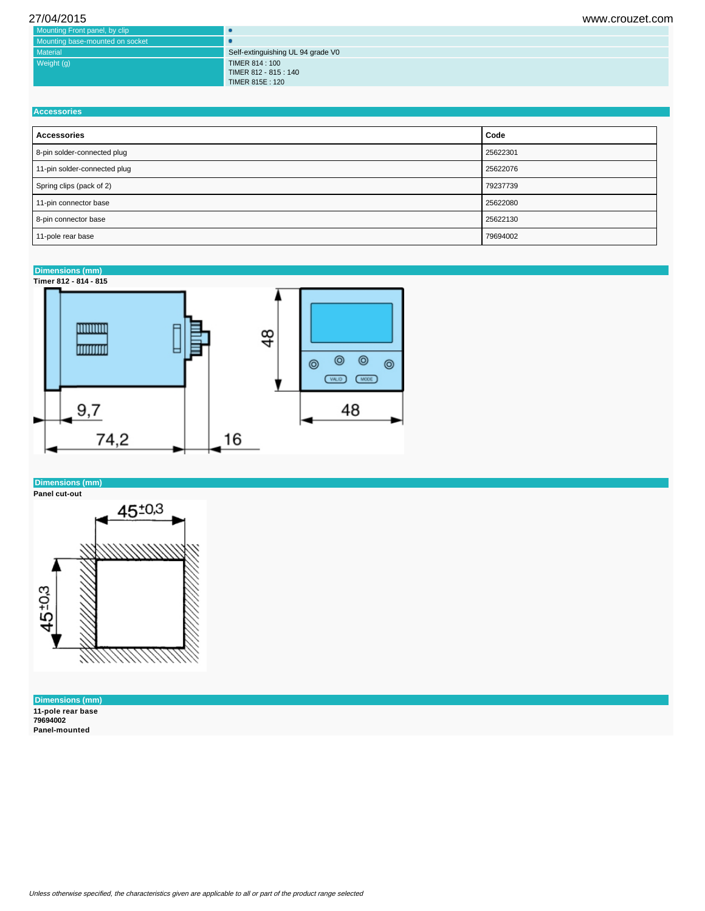| 27/04/2015                      |                                   | www.crouzet.com |
|---------------------------------|-----------------------------------|-----------------|
| Mounting Front panel, by clip   | œ                                 |                 |
| Mounting base-mounted on socket |                                   |                 |
| Material                        | Self-extinguishing UL 94 grade V0 |                 |
| Weight (g)                      | TIMER 814 : 100                   |                 |
|                                 | TIMER 812 - 815 : 140             |                 |
|                                 | TIMER 815E: 120                   |                 |

| <b>Accessories</b> |  |
|--------------------|--|
|                    |  |

| <b>Accessories</b>           | Code     |
|------------------------------|----------|
| 8-pin solder-connected plug  | 25622301 |
| 11-pin solder-connected plug | 25622076 |
| Spring clips (pack of 2)     | 79237739 |
| 11-pin connector base        | 25622080 |
| 8-pin connector base         | 25622130 |
| 11-pole rear base            | 79694002 |

## **Dimensions (mm)**



## **Dimensions (mm)**

**Panel cut-out**



**Dimensions (mm) 11-pole rear base 79694002 Panel-mounted**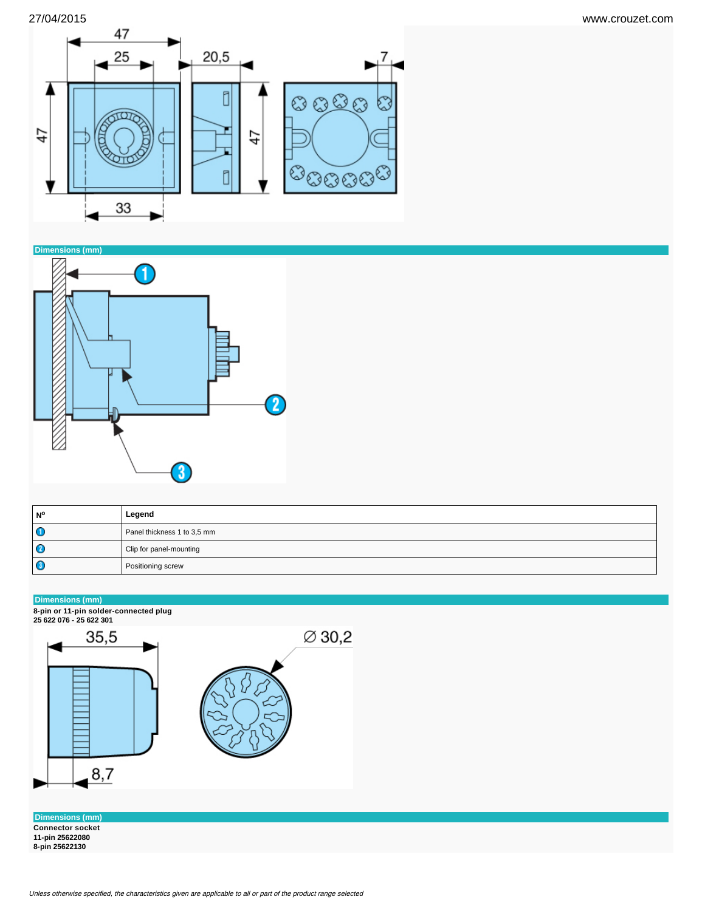



| N° | Legend                      |
|----|-----------------------------|
| O  | Panel thickness 1 to 3,5 mm |
| O  | Clip for panel-mounting     |
| O  | Positioning screw           |

### **Dimensions (mm)**

**8-pin or 11-pin solder-connected plug 25 622 076 - 25 622 301**



**Dimensions (mm) Connector socket 11-pin 25622080 8-pin 25622130**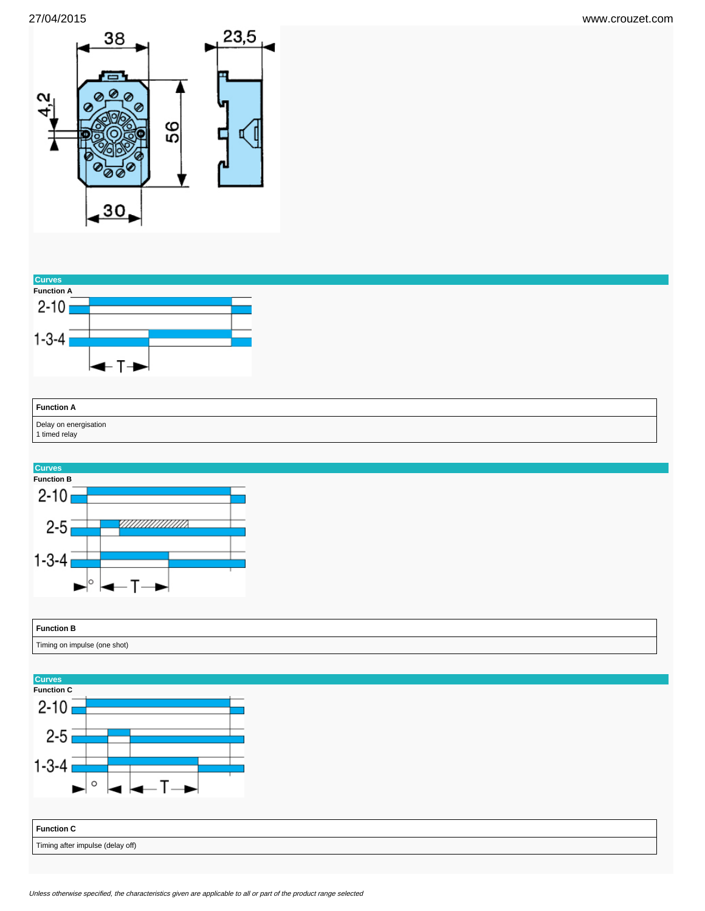



| <b>Function A</b>                      |  |
|----------------------------------------|--|
| Delay on energisation<br>1 timed relay |  |



| <b>Function B</b><br>.       |  |
|------------------------------|--|
| Timing on impulse (one shot) |  |

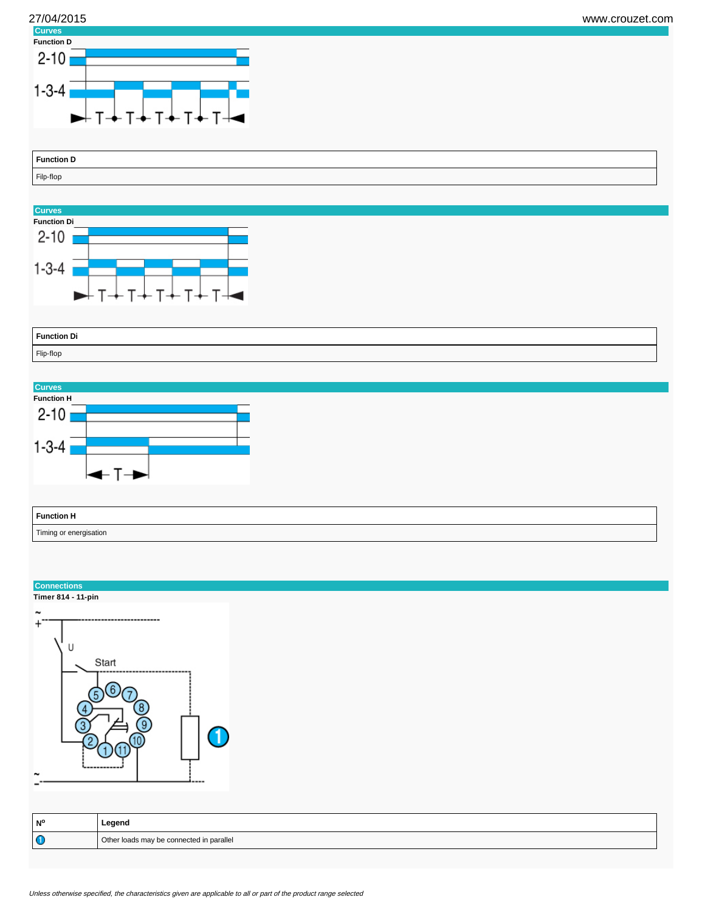

| <b>Function D</b> |  |
|-------------------|--|
| Filp-flop         |  |